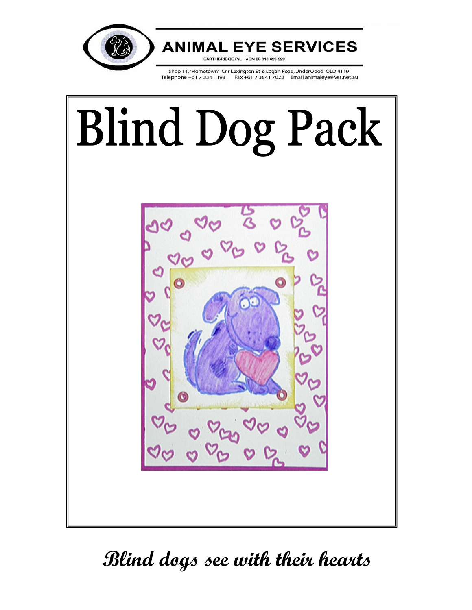

# **ANIMAL EYE SERVICES**

**EARTHBRIDGE P/L** ABN 25 010 629 928

Shop 14, "Hometown" Cnr Lexington St & Logan Road, Underwood QLD 4119 Telephone +61 7 3341 1981 Fax +61 7 3841 7022 Email animaleye@vss.net.au



# **Blind dogs see with their hearts**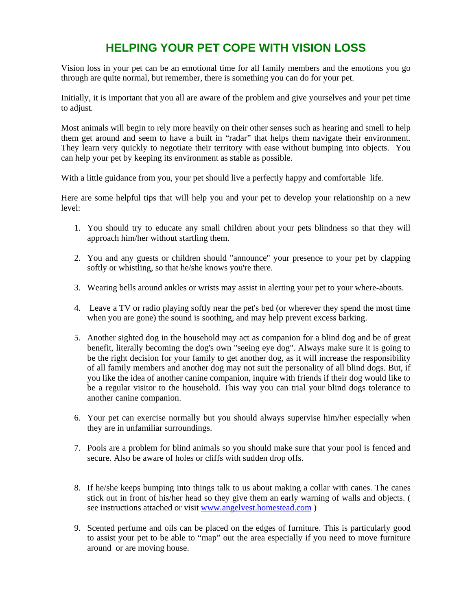# **HELPING YOUR PET COPE WITH VISION LOSS**

Vision loss in your pet can be an emotional time for all family members and the emotions you go through are quite normal, but remember, there is something you can do for your pet.

Initially, it is important that you all are aware of the problem and give yourselves and your pet time to adjust.

Most animals will begin to rely more heavily on their other senses such as hearing and smell to help them get around and seem to have a built in "radar" that helps them navigate their environment. They learn very quickly to negotiate their territory with ease without bumping into objects. You can help your pet by keeping its environment as stable as possible.

With a little guidance from you, your pet should live a perfectly happy and comfortable life.

Here are some helpful tips that will help you and your pet to develop your relationship on a new level:

- 1. You should try to educate any small children about your pets blindness so that they will approach him/her without startling them.
- 2. You and any guests or children should "announce" your presence to your pet by clapping softly or whistling, so that he/she knows you're there.
- 3. Wearing bells around ankles or wrists may assist in alerting your pet to your where-abouts.
- 4. Leave a TV or radio playing softly near the pet's bed (or wherever they spend the most time when you are gone) the sound is soothing, and may help prevent excess barking.
- 5. Another sighted dog in the household may act as companion for a blind dog and be of great benefit, literally becoming the dog's own "seeing eye dog". Always make sure it is going to be the right decision for your family to get another dog, as it will increase the responsibility of all family members and another dog may not suit the personality of all blind dogs. But, if you like the idea of another canine companion, inquire with friends if their dog would like to be a regular visitor to the household. This way you can trial your blind dogs tolerance to another canine companion.
- 6. Your pet can exercise normally but you should always supervise him/her especially when they are in unfamiliar surroundings.
- 7. Pools are a problem for blind animals so you should make sure that your pool is fenced and secure. Also be aware of holes or cliffs with sudden drop offs.
- 8. If he/she keeps bumping into things talk to us about making a collar with canes. The canes stick out in front of his/her head so they give them an early warning of walls and objects. ( see instructions attached or visit www.angelvest.homestead.com )
- 9. Scented perfume and oils can be placed on the edges of furniture. This is particularly good to assist your pet to be able to "map" out the area especially if you need to move furniture around or are moving house.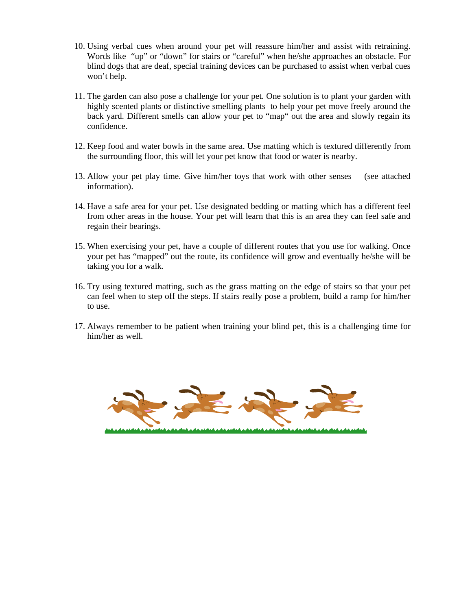- 10. Using verbal cues when around your pet will reassure him/her and assist with retraining. Words like "up" or "down" for stairs or "careful" when he/she approaches an obstacle. For blind dogs that are deaf, special training devices can be purchased to assist when verbal cues won't help.
- 11. The garden can also pose a challenge for your pet. One solution is to plant your garden with highly scented plants or distinctive smelling plants to help your pet move freely around the back yard. Different smells can allow your pet to "map" out the area and slowly regain its confidence.
- 12. Keep food and water bowls in the same area. Use matting which is textured differently from the surrounding floor, this will let your pet know that food or water is nearby.
- 13. Allow your pet play time. Give him/her toys that work with other senses (see attached information).
- 14. Have a safe area for your pet. Use designated bedding or matting which has a different feel from other areas in the house. Your pet will learn that this is an area they can feel safe and regain their bearings.
- 15. When exercising your pet, have a couple of different routes that you use for walking. Once your pet has "mapped" out the route, its confidence will grow and eventually he/she will be taking you for a walk.
- 16. Try using textured matting, such as the grass matting on the edge of stairs so that your pet can feel when to step off the steps. If stairs really pose a problem, build a ramp for him/her to use.
- 17. Always remember to be patient when training your blind pet, this is a challenging time for him/her as well.

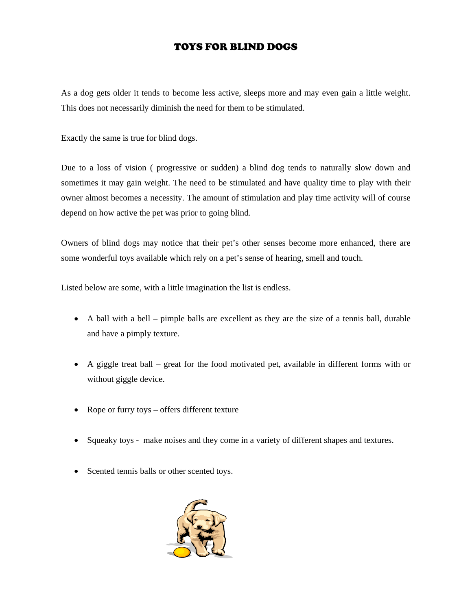## TOYS FOR BLIND DOGS

As a dog gets older it tends to become less active, sleeps more and may even gain a little weight. This does not necessarily diminish the need for them to be stimulated.

Exactly the same is true for blind dogs.

Due to a loss of vision ( progressive or sudden) a blind dog tends to naturally slow down and sometimes it may gain weight. The need to be stimulated and have quality time to play with their owner almost becomes a necessity. The amount of stimulation and play time activity will of course depend on how active the pet was prior to going blind.

Owners of blind dogs may notice that their pet's other senses become more enhanced, there are some wonderful toys available which rely on a pet's sense of hearing, smell and touch.

Listed below are some, with a little imagination the list is endless.

- A ball with a bell pimple balls are excellent as they are the size of a tennis ball, durable and have a pimply texture.
- A giggle treat ball great for the food motivated pet, available in different forms with or without giggle device.
- Rope or furry toys offers different texture
- Squeaky toys make noises and they come in a variety of different shapes and textures.
- Scented tennis balls or other scented toys.

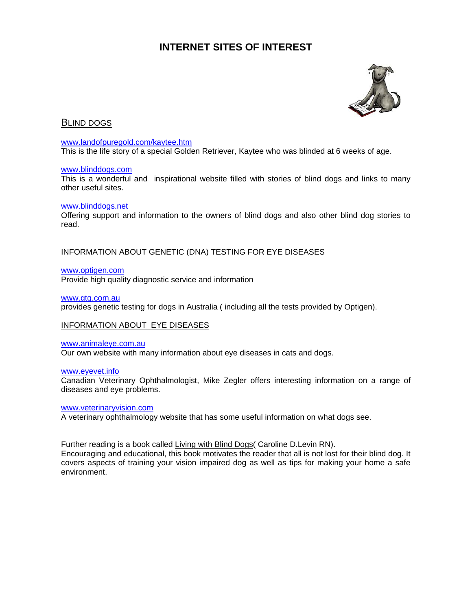## **INTERNET SITES OF INTEREST**



## **BLIND DOGS**

#### www.landofpuregold.com/kaytee.htm

This is the life story of a special Golden Retriever, Kaytee who was blinded at 6 weeks of age.

#### www.blinddogs.com

This is a wonderful and inspirational website filled with stories of blind dogs and links to many other useful sites.

#### www.blinddogs.net

Offering support and information to the owners of blind dogs and also other blind dog stories to read.

#### INFORMATION ABOUT GENETIC (DNA) TESTING FOR EYE DISEASES

#### www.optigen.com

Provide high quality diagnostic service and information

#### www.gtg.com.au

provides genetic testing for dogs in Australia ( including all the tests provided by Optigen).

#### INFORMATION ABOUT EYE DISEASES

#### www.animaleye.com.au

Our own website with many information about eye diseases in cats and dogs.

#### www.eyevet.info

Canadian Veterinary Ophthalmologist, Mike Zegler offers interesting information on a range of diseases and eye problems.

#### www.veterinaryvision.com

A veterinary ophthalmology website that has some useful information on what dogs see.

Further reading is a book called Living with Blind Dogs (Caroline D.Levin RN).

Encouraging and educational, this book motivates the reader that all is not lost for their blind dog. It covers aspects of training your vision impaired dog as well as tips for making your home a safe environment.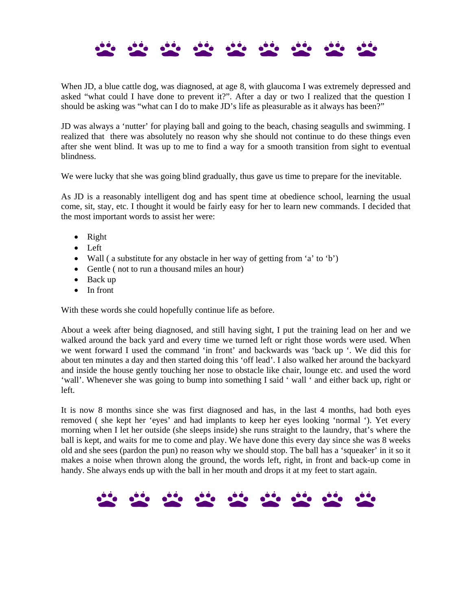When JD, a blue cattle dog, was diagnosed, at age 8, with glaucoma I was extremely depressed and asked "what could I have done to prevent it?". After a day or two I realized that the question I should be asking was "what can I do to make JD's life as pleasurable as it always has been?"

JD was always a 'nutter' for playing ball and going to the beach, chasing seagulls and swimming. I realized that there was absolutely no reason why she should not continue to do these things even after she went blind. It was up to me to find a way for a smooth transition from sight to eventual blindness.

We were lucky that she was going blind gradually, thus gave us time to prepare for the inevitable.

As JD is a reasonably intelligent dog and has spent time at obedience school, learning the usual come, sit, stay, etc. I thought it would be fairly easy for her to learn new commands. I decided that the most important words to assist her were:

- Right
- Left
- Wall (a substitute for any obstacle in her way of getting from 'a' to 'b')
- Gentle (not to run a thousand miles an hour)
- Back up
- In front

With these words she could hopefully continue life as before.

About a week after being diagnosed, and still having sight, I put the training lead on her and we walked around the back yard and every time we turned left or right those words were used. When we went forward I used the command 'in front' and backwards was 'back up '. We did this for about ten minutes a day and then started doing this 'off lead'. I also walked her around the backyard and inside the house gently touching her nose to obstacle like chair, lounge etc. and used the word 'wall'. Whenever she was going to bump into something I said ' wall ' and either back up, right or left.

It is now 8 months since she was first diagnosed and has, in the last 4 months, had both eyes removed ( she kept her 'eyes' and had implants to keep her eyes looking 'normal '). Yet every morning when I let her outside (she sleeps inside) she runs straight to the laundry, that's where the ball is kept, and waits for me to come and play. We have done this every day since she was 8 weeks old and she sees (pardon the pun) no reason why we should stop. The ball has a 'squeaker' in it so it makes a noise when thrown along the ground, the words left, right, in front and back-up come in handy. She always ends up with the ball in her mouth and drops it at my feet to start again.

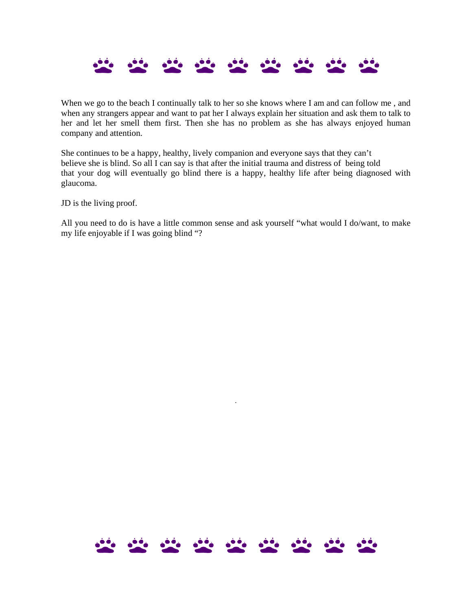

When we go to the beach I continually talk to her so she knows where I am and can follow me, and when any strangers appear and want to pat her I always explain her situation and ask them to talk to her and let her smell them first. Then she has no problem as she has always enjoyed human company and attention.

She continues to be a happy, healthy, lively companion and everyone says that they can't believe she is blind. So all I can say is that after the initial trauma and distress of being told that your dog will eventually go blind there is a happy, healthy life after being diagnosed with glaucoma.

JD is the living proof.

All you need to do is have a little common sense and ask yourself "what would I do/want, to make my life enjoyable if I was going blind "?



.